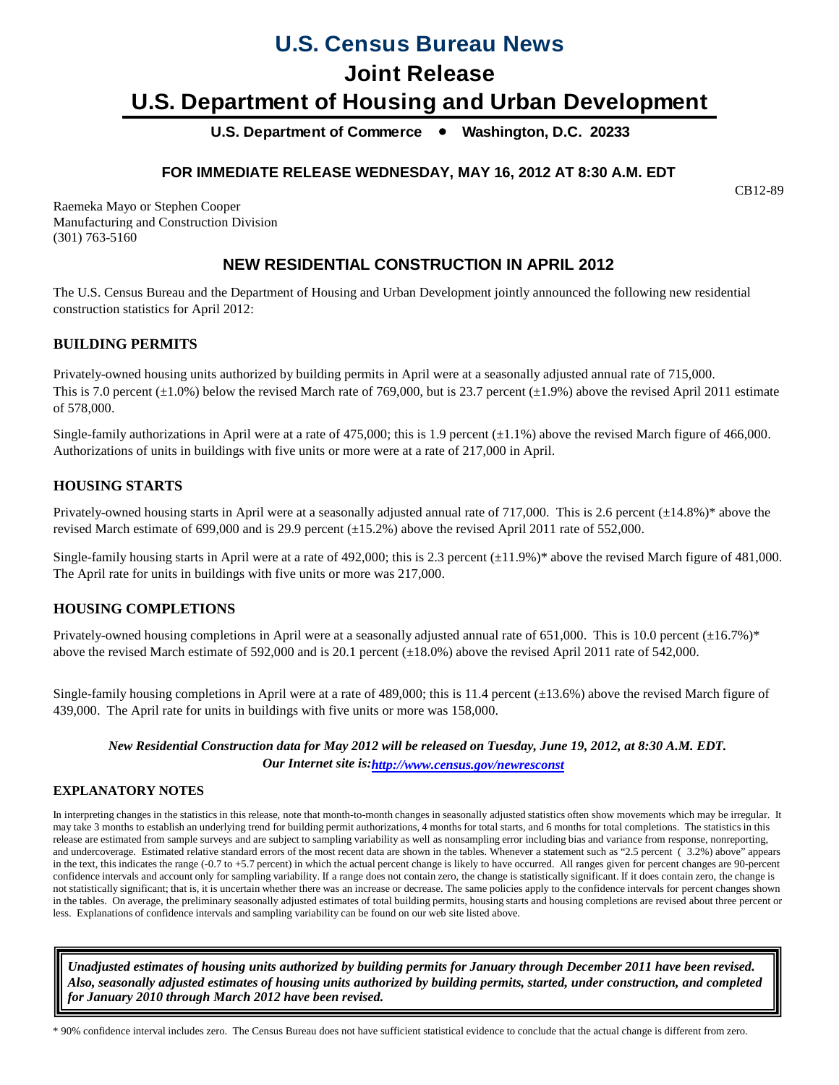# **U.S. Census Bureau News**

## **Joint Release**

# **U.S. Department of Housing and Urban Development**

U.S. Department of Commerce  $\bullet$  Washington, D.C. 20233

## **FOR IMMEDIATE RELEASE WEDNESDAY, MAY 16, 2012 AT 8:30 A.M. EDT**

CB12-89

Raemeka Mayo or Stephen Cooper Manufacturing and Construction Division (301) 763-5160

## **NEW RESIDENTIAL CONSTRUCTION IN APRIL 2012**

The U.S. Census Bureau and the Department of Housing and Urban Development jointly announced the following new residential construction statistics for April 2012:

### **BUILDING PERMITS**

Privately-owned housing units authorized by building permits in April were at a seasonally adjusted annual rate of 715,000. This is 7.0 percent  $(\pm 1.0\%)$  below the revised March rate of 769,000, but is 23.7 percent  $(\pm 1.9\%)$  above the revised April 2011 estimate of 578,000.

Single-family authorizations in April were at a rate of 475,000; this is 1.9 percent  $(\pm 1.1\%)$  above the revised March figure of 466,000. Authorizations of units in buildings with five units or more were at a rate of 217,000 in April.

## **HOUSING STARTS**

Privately-owned housing starts in April were at a seasonally adjusted annual rate of 717,000. This is 2.6 percent (±14.8%)\* above the revised March estimate of 699,000 and is 29.9 percent (±15.2%) above the revised April 2011 rate of 552,000.

Single-family housing starts in April were at a rate of 492,000; this is 2.3 percent  $(\pm 11.9\%)^*$  above the revised March figure of 481,000. The April rate for units in buildings with five units or more was 217,000.

### **HOUSING COMPLETIONS**

Privately-owned housing completions in April were at a seasonally adjusted annual rate of 651,000. This is 10.0 percent  $(\pm 16.7\%)^*$ above the revised March estimate of 592,000 and is 20.1 percent (±18.0%) above the revised April 2011 rate of 542,000.

Single-family housing completions in April were at a rate of 489,000; this is 11.4 percent  $(\pm 13.6\%)$  above the revised March figure of 439,000. The April rate for units in buildings with five units or more was 158,000.

*New Residential Construction data for May 2012 will be released on Tuesday, June 19, 2012, at 8:30 A.M. EDT. Our Internet site is[: http://www.census.gov/newresconst](http://www.census.gov/newresconst) http://www.census.gov/newresconst*

### **EXPLANATORY NOTES**

In interpreting changes in the statistics in this release, note that month-to-month changes in seasonally adjusted statistics often show movements which may be irregular. It may take 3 months to establish an underlying trend for building permit authorizations, 4 months for total starts, and 6 months for total completions. The statistics in this release are estimated from sample surveys and are subject to sampling variability as well as nonsampling error including bias and variance from response, nonreporting, and undercoverage. Estimated relative standard errors of the most recent data are shown in the tables. Whenever a statement such as "2.5 percent ( 3.2%) above" appears in the text, this indicates the range (-0.7 to +5.7 percent) in which the actual percent change is likely to have occurred. All ranges given for percent changes are 90-percent confidence intervals and account only for sampling variability. If a range does not contain zero, the change is statistically significant. If it does contain zero, the change is not statistically significant; that is, it is uncertain whether there was an increase or decrease. The same policies apply to the confidence intervals for percent changes shown in the tables. On average, the preliminary seasonally adjusted estimates of total building permits, housing starts and housing completions are revised about three percent or less. Explanations of confidence intervals and sampling variability can be found on our web site listed above.

*Unadjusted estimates of housing units authorized by building permits for January through December 2011 have been revised. Also, seasonally adjusted estimates of housing units authorized by building permits, started, under construction, and completed for January 2010 through March 2012 have been revised.*

\* 90% confidence interval includes zero. The Census Bureau does not have sufficient statistical evidence to conclude that the actual change is different from zero.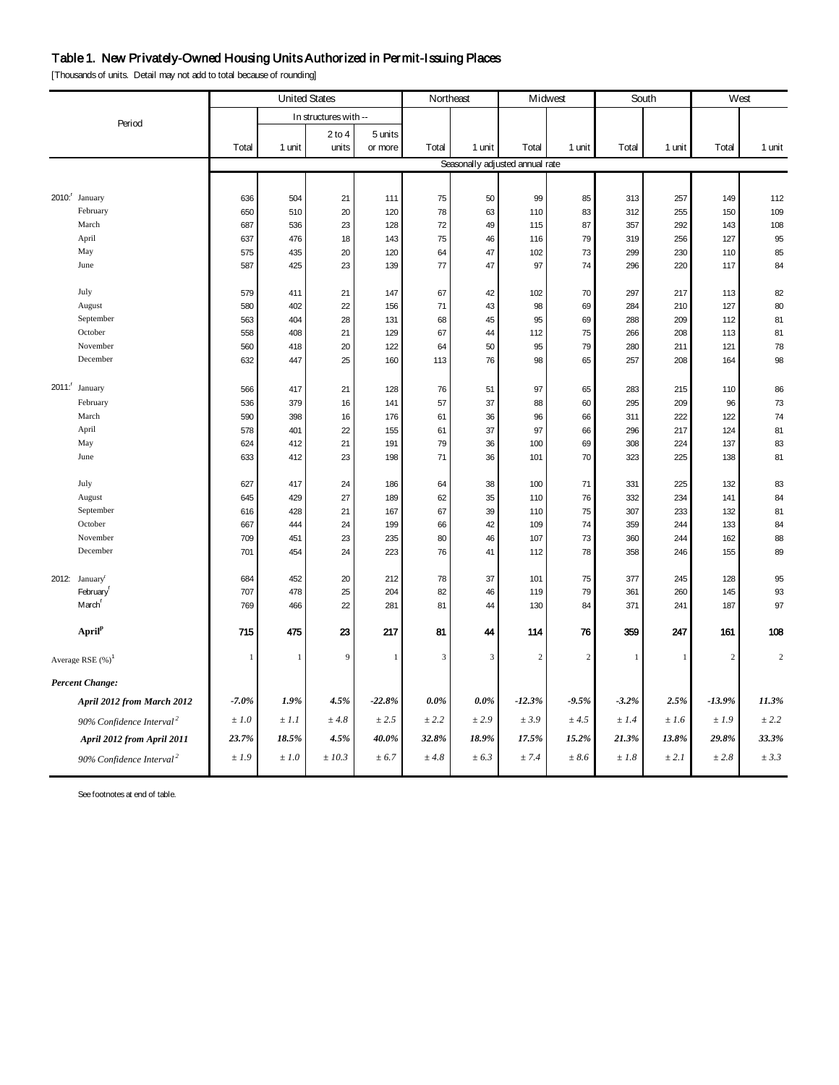## Table 1. New Privately-Owned Housing Units Authorized in Permit-Issuing Places

[Thousands of units. Detail may not add to total because of rounding]

|                                      | <b>United States</b>                 |              | Northeast    |                       | Midwest        |                | South          |                                 | West       |              |              |                |         |
|--------------------------------------|--------------------------------------|--------------|--------------|-----------------------|----------------|----------------|----------------|---------------------------------|------------|--------------|--------------|----------------|---------|
|                                      |                                      |              |              | In structures with -- |                |                |                |                                 |            |              |              |                |         |
|                                      | Period                               |              |              | $2$ to $4$            | 5 units        |                |                |                                 |            |              |              |                |         |
|                                      |                                      | Total        | 1 unit       | units                 | or more        | Total          | 1 unit         | Total                           | 1 unit     | Total        | 1 unit       | Total          | 1 unit  |
|                                      |                                      |              |              |                       |                |                |                | Seasonally adjusted annual rate |            |              |              |                |         |
|                                      |                                      |              |              |                       |                |                |                |                                 |            |              |              |                |         |
| 2010: January                        |                                      | 636          | 504          | 21                    | 111            | 75             | 50             | 99                              | 85         | 313          | 257          | 149            | 112     |
| February                             |                                      | 650          | 510          | 20                    | 120            | 78             | 63             | 110                             | 83         | 312          | 255          | 150            | 109     |
| March                                |                                      | 687          | 536          | 23                    | 128            | 72             | 49             | 115                             | 87         | 357          | 292          | 143            | 108     |
| April                                |                                      | 637          | 476          | 18                    | 143            | 75             | 46             | 116                             | 79         | 319          | 256          | 127            | 95      |
| May                                  |                                      | 575          | 435          | 20                    | 120            | 64             | 47             | 102                             | 73         | 299          | 230          | 110            | 85      |
| June                                 |                                      | 587          | 425          | 23                    | 139            | 77             | 47             | 97                              | 74         | 296          | 220          | 117            | 84      |
| July                                 |                                      | 579          | 411          | 21                    | 147            | 67             | 42             | 102                             | 70         | 297          | 217          | 113            | 82      |
| August                               |                                      | 580          | 402          | 22                    | 156            | 71             | 43             | 98                              | 69         | 284          | 210          | 127            | 80      |
| September                            |                                      | 563          | 404          | 28                    | 131            | 68             | 45             | 95                              | 69         | 288          | 209          | 112            | 81      |
| October                              |                                      | 558          | 408          | 21                    | 129            | 67             | 44             | 112                             | 75         | 266          | 208          | 113            | 81      |
| November                             |                                      | 560          | 418          | 20                    | 122            | 64             | 50             | 95                              | 79         | 280          | 211          | 121            | 78      |
| December                             |                                      | 632          | 447          | 25                    | 160            | 113            | 76             | 98                              | 65         | 257          | 208          | 164            | 98      |
| 2011: January                        |                                      | 566          | 417          | 21                    | 128            | 76             | 51             | 97                              | 65         | 283          | 215          | 110            | 86      |
| February                             |                                      | 536          | 379          | 16                    | 141            | 57             | 37             | 88                              | 60         | 295          | 209          | 96             | 73      |
| March                                |                                      | 590          | 398          | 16                    | 176            | 61             | 36             | 96                              | 66         | 311          | 222          | 122            | 74      |
| April                                |                                      | 578          | 401          | 22                    | 155            | 61             | 37             | 97                              | 66         | 296          | 217          | 124            | 81      |
| May                                  |                                      | 624          | 412          | 21                    | 191            | 79             | 36             | 100                             | 69         | 308          | 224          | 137            | 83      |
| June                                 |                                      | 633          | 412          | 23                    | 198            | 71             | 36             | 101                             | 70         | 323          | 225          | 138            | 81      |
| July                                 |                                      | 627          | 417          | 24                    | 186            | 64             | 38             | 100                             | 71         | 331          | 225          | 132            | 83      |
| August                               |                                      | 645          | 429          | 27                    | 189            | 62             | 35             | 110                             | 76         | 332          | 234          | 141            | 84      |
| September                            |                                      | 616          | 428          | 21                    | 167            | 67             | 39             | 110                             | 75         | 307          | 233          | 132            | 81      |
| October                              |                                      | 667          | 444          | 24                    | 199            | 66             | 42             | 109                             | $74\,$     | 359          | 244          | 133            | 84      |
| November                             |                                      | 709          | 451          | 23                    | 235            | 80             | 46             | 107                             | 73         | 360          | 244          | 162            | 88      |
| December                             |                                      | 701          | 454          | 24                    | 223            | 76             | 41             | 112                             | 78         | 358          | 246          | 155            | 89      |
| 2012: January <sup>r</sup>           |                                      | 684          | 452          | 20                    | 212            | 78             | 37             | 101                             | 75         | 377          | 245          | 128            | 95      |
| February <sup>F</sup>                |                                      | 707          | 478          | 25                    | 204            | 82             | 46             | 119                             | 79         | 361          | 260          | 145            | 93      |
| March <sup>r</sup>                   |                                      | 769          | 466          | 22                    | 281            | 81             | 44             | 130                             | 84         | 371          | 241          | 187            | 97      |
| April <sup>p</sup>                   |                                      | 715          | 475          | 23                    | 217            | 81             | 44             | 114                             | 76         | 359          | 247          | 161            | 108     |
| Average RSE $(\%)^1$                 |                                      | $\mathbf{1}$ | $\mathbf{1}$ | 9                     | $\overline{1}$ | $\overline{3}$ | $\overline{3}$ | $\overline{c}$                  | $\sqrt{2}$ | $\mathbf{1}$ | $\mathbf{1}$ | $\sqrt{2}$     | $\,2\,$ |
| <b>Percent Change:</b>               |                                      |              |              |                       |                |                |                |                                 |            |              |              |                |         |
|                                      | April 2012 from March 2012           | $-7.0%$      | 1.9%         | 4.5%                  | $-22.8%$       | $0.0\%$        | $0.0\%$        | $-12.3%$                        | $-9.5%$    | $-3.2%$      | $2.5\%$      | $-13.9%$       | 11.3%   |
| 90% Confidence Interval <sup>2</sup> |                                      | $\pm 1.0$    | $\pm$ 1.1    | ± 4.8                 | $\pm\,2.5$     | ± 2.2          | ± 2.9          | ± 3.9                           | ± 4.5      | ±1.4         | ±1.6         | $\pm$ 1.9 $\,$ | ± 2.2   |
|                                      | April 2012 from April 2011           | 23.7%        | 18.5%        | 4.5%                  | 40.0%          | 32.8%          | 18.9%          | 17.5%                           | 15.2%      | 21.3%        | 13.8%        | 29.8%          | 33.3%   |
|                                      | 90% Confidence Interval <sup>2</sup> | ±1.9         | $\pm 1.0$    | ±10.3                 | ± 6.7          | ±4.8           | ± 6.3          | $\pm$ 7.4                       | ± 8.6      | $\pm\,1.8$   | ± 2.1        | ± 2.8          | ± 3.3   |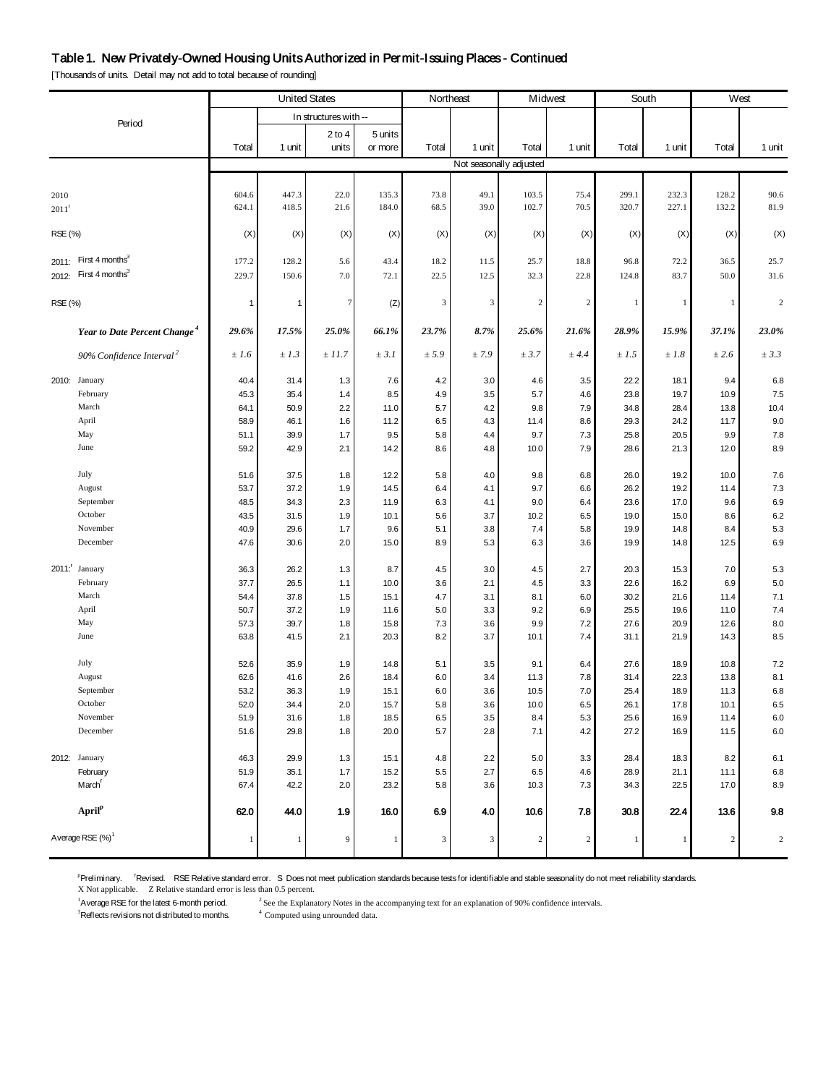#### Table 1. New Privately-Owned Housing Units Authorized in Permit-Issuing Places - Continued

[Thousands of units. Detail may not add to total because of rounding]

|                     |                                          |              | <b>United States</b><br>Northeast<br>Midwest<br>South |                       |              |            |            |                         | West       |              |              |              |                    |
|---------------------|------------------------------------------|--------------|-------------------------------------------------------|-----------------------|--------------|------------|------------|-------------------------|------------|--------------|--------------|--------------|--------------------|
|                     |                                          |              |                                                       | In structures with -- |              |            |            |                         |            |              |              |              |                    |
|                     | Period                                   |              |                                                       | $2$ to 4              | 5 units      |            |            |                         |            |              |              |              |                    |
|                     |                                          | Total        | 1 unit                                                | units                 | or more      | Total      | 1 unit     | Total                   | 1 unit     | Total        | 1 unit       | Total        | 1 unit             |
|                     |                                          |              |                                                       |                       |              |            |            | Not seasonally adjusted |            |              |              |              |                    |
|                     |                                          |              |                                                       |                       |              |            |            |                         |            |              |              |              |                    |
| 2010                |                                          | 604.6        | 447.3                                                 | 22.0                  | 135.3        | 73.8       | 49.1       | 103.5                   | 75.4       | 299.1        | 232.3        | 128.2        | 90.6               |
| $2011$ <sup>r</sup> |                                          | 624.1        | 418.5                                                 | 21.6                  | 184.0        | 68.5       | 39.0       | 102.7                   | 70.5       | 320.7        | 227.1        | 132.2        | 81.9               |
|                     |                                          |              |                                                       |                       |              |            |            |                         |            |              |              |              |                    |
| RSE (%)             |                                          | (X)          | (X)                                                   | (X)                   | (X)          | (X)        | (X)        | (X)                     | (X)        | (X)          | (X)          | (X)          | (X)                |
|                     | 2011: First $4$ months <sup>3</sup>      |              |                                                       |                       |              |            |            |                         |            |              |              |              |                    |
|                     | 2012: First 4 months <sup>3</sup>        | 177.2        | 128.2                                                 | 5.6                   | 43.4         | 18.2       | 11.5       | 25.7                    | 18.8       | 96.8         | 72.2         | 36.5         | 25.7               |
|                     |                                          | 229.7        | 150.6                                                 | 7.0                   | 72.1         | 22.5       | 12.5       | 32.3                    | 22.8       | 124.8        | 83.7         | 50.0         | 31.6               |
| RSE (%)             |                                          | $\mathbf{1}$ | 1                                                     | 7                     | (Z)          | 3          | 3          | 2                       | $\sqrt{2}$ | $\mathbf{1}$ | $\mathbf{1}$ | $\mathbf{1}$ | $\overline{c}$     |
|                     |                                          |              |                                                       |                       |              |            |            |                         |            |              |              |              |                    |
|                     | Year to Date Percent Change <sup>4</sup> | 29.6%        | 17.5%                                                 | 25.0%                 | 66.1%        | 23.7%      | 8.7%       | 25.6%                   | 21.6%      | 28.9%        | 15.9%        | 37.1%        | 23.0%              |
|                     |                                          |              |                                                       |                       |              |            |            |                         |            |              |              |              |                    |
|                     | 90% Confidence Interval <sup>2</sup>     | ±1.6         | $\pm$ 1.3                                             | ±11.7                 | ± 3.1        | ± 5.9      | ± 7.9      | ± 3.7                   | $±$ 4.4    | $\pm 1.5$    | ±1.8         | ± 2.6        | $\pm$ 3.3          |
|                     | 2010: January                            | 40.4         | 31.4                                                  | 1.3                   | 7.6          | 4.2        | 3.0        | 4.6                     | 3.5        | 22.2         | 18.1         | 9.4          | 6.8                |
|                     | February                                 | 45.3         | 35.4                                                  | 1.4                   | 8.5          | 4.9        | 3.5        | 5.7                     | 4.6        | 23.8         | 19.7         | 10.9         | 7.5                |
|                     | March                                    | 64.1         | 50.9                                                  | 2.2                   | 11.0         | 5.7        | 4.2        | 9.8                     | 7.9        | 34.8         | 28.4         | 13.8         | 10.4               |
|                     | April                                    | 58.9         | 46.1                                                  | 1.6                   | 11.2         | 6.5        | 4.3        | 11.4                    | 8.6        | 29.3         | 24.2         | 11.7         | 9.0                |
|                     | May                                      | 51.1         | 39.9                                                  | 1.7                   | 9.5          | 5.8        | 4.4        | 9.7                     | 7.3        | 25.8         | 20.5         | 9.9          | $7.8$              |
|                     | June                                     | 59.2         | 42.9                                                  | 2.1                   | 14.2         | 8.6        | 4.8        | 10.0                    | 7.9        | 28.6         | 21.3         | 12.0         | 8.9                |
|                     | July                                     |              |                                                       |                       | 12.2         |            |            |                         |            | 26.0         | 19.2         | 10.0         | 7.6                |
|                     | August                                   | 51.6<br>53.7 | 37.5<br>37.2                                          | 1.8<br>1.9            | 14.5         | 5.8<br>6.4 | 4.0<br>4.1 | 9.8<br>9.7              | 6.8<br>6.6 | 26.2         | 19.2         | 11.4         | 7.3                |
|                     | September                                | 48.5         | 34.3                                                  | 2.3                   | 11.9         | 6.3        | 4.1        | 9.0                     | 6.4        | 23.6         | 17.0         | 9.6          | 6.9                |
|                     | October                                  | 43.5         | 31.5                                                  | 1.9                   | 10.1         | 5.6        | 3.7        | 10.2                    | 6.5        | 19.0         | 15.0         | 8.6          | $6.2\,$            |
|                     | November                                 | 40.9         | 29.6                                                  | 1.7                   | 9.6          | 5.1        | 3.8        | 7.4                     | 5.8        | 19.9         | 14.8         | 8.4          | 5.3                |
|                     | December                                 | 47.6         | 30.6                                                  | 2.0                   | 15.0         | 8.9        | 5.3        | 6.3                     | 3.6        | 19.9         | 14.8         | 12.5         | 6.9                |
|                     |                                          |              |                                                       |                       |              |            |            |                         |            |              |              |              |                    |
|                     | 2011: January                            | 36.3         | 26.2                                                  | 1.3                   | 8.7          | 4.5        | 3.0        | 4.5                     | 2.7        | 20.3         | 15.3         | 7.0          | 5.3                |
|                     | February<br>March                        | 37.7         | 26.5                                                  | 1.1                   | 10.0         | 3.6        | 2.1        | 4.5                     | 3.3        | 22.6         | 16.2         | 6.9          | 5.0                |
|                     | April                                    | 54.4<br>50.7 | 37.8<br>37.2                                          | 1.5<br>1.9            | 15.1<br>11.6 | 4.7<br>5.0 | 3.1<br>3.3 | 8.1<br>9.2              | 6.0<br>6.9 | 30.2<br>25.5 | 21.6<br>19.6 | 11.4<br>11.0 | 7.1<br>7.4         |
|                     | May                                      | 57.3         | 39.7                                                  | 1.8                   | 15.8         | 7.3        | 3.6        | 9.9                     | 7.2        | 27.6         | 20.9         | 12.6         | 8.0                |
|                     | June                                     | 63.8         | 41.5                                                  | 2.1                   | 20.3         | 8.2        | 3.7        | 10.1                    | 7.4        | 31.1         | 21.9         | 14.3         | 8.5                |
|                     |                                          |              |                                                       |                       |              |            |            |                         |            |              |              |              |                    |
|                     | July                                     | 52.6         | 35.9                                                  | 1.9                   | 14.8         | 5.1        | 3.5        | 9.1                     | 6.4        | 27.6         | 18.9         | 10.8         | $7.2\,$            |
|                     | August                                   | 62.6         | 41.6                                                  | 2.6                   | 18.4         | 6.0        | 3.4        | 11.3                    | 7.8        | 31.4         | 22.3         | 13.8         | 8.1                |
|                     | September                                | 53.2         | 36.3                                                  | 1.9                   | 15.1         | 6.0        | 3.6        | 10.5                    | 7.0        | 25.4         | 18.9         | 11.3         | 6.8                |
|                     | October                                  | 52.0         | 34.4                                                  | 2.0                   | 15.7         | 5.8        | 3.6        | 10.0                    | 6.5        | 26.1         | 17.8         | 10.1         | 6.5                |
|                     | November<br>December                     | 51.9         | 31.6<br>29.8                                          | 1.8                   | 18.5<br>20.0 | 6.5<br>5.7 | 3.5<br>2.8 | 8.4<br>7.1              | 5.3<br>4.2 | 25.6<br>27.2 | 16.9         | 11.4<br>11.5 | $6.0\,$<br>$6.0\,$ |
|                     |                                          | 51.6         |                                                       | 1.8                   |              |            |            |                         |            |              | 16.9         |              |                    |
|                     | 2012: January                            | 46.3         | 29.9                                                  | 1.3                   | 15.1         | 4.8        | 2.2        | 5.0                     | 3.3        | 28.4         | 18.3         | 8.2          | 6.1                |
|                     | February                                 | 51.9         | 35.1                                                  | 1.7                   | 15.2         | 5.5        | 2.7        | 6.5                     | 4.6        | 28.9         | 21.1         | 11.1         | $6.8\,$            |
|                     | March <sup>r</sup>                       | 67.4         | 42.2                                                  | 2.0                   | 23.2         | 5.8        | 3.6        | 10.3                    | 7.3        | 34.3         | 22.5         | 17.0         | 8.9                |
|                     |                                          |              |                                                       |                       |              |            |            |                         |            |              |              |              |                    |
|                     | April <sup>p</sup>                       | 62.0         | 44.0                                                  | 1.9                   | 16.0         | 6.9        | 4.0        | $10.6$                  | 7.8        | 30.8         | 22.4         | 13.6         | 9.8                |
|                     | Average RSE (%) <sup>1</sup>             |              |                                                       | 9                     |              |            |            |                         |            |              | $\mathbf{1}$ | $\sqrt{2}$   |                    |
|                     |                                          | $\mathbf{1}$ | $\mathbf{1}$                                          |                       | $\mathbf{1}$ | 3          | 3          | $\overline{c}$          | $\sqrt{2}$ | $\mathbf{1}$ |              |              | $\overline{2}$     |

<sup>p</sup>Preliminary. 'Revised. RSE Relative standard error. S Does not meet publication standards because tests for identifiable and stable seasonality do not meet reliability standards.<br>X Not applicable. Z Relative standard er

<sup>1</sup>A verage RSE for the latest 6-month period. <sup>2</sup> See the Explanatory Notes in the accompanying text for an explanation of 90% confidence intervals.  $4$  Computed using unrounded data.

 $3$ Reflects revisions not distributed to months.  $4$  Computed using unrounded data.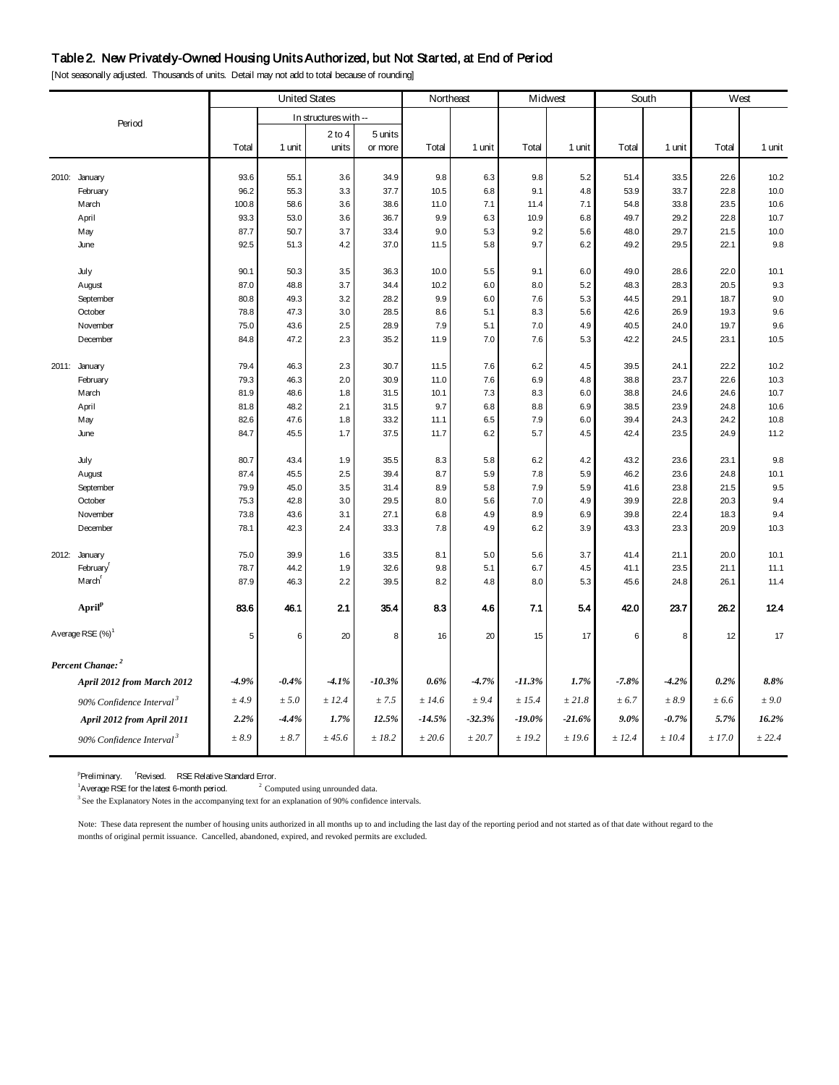#### Table 2. New Privately-Owned Housing Units Authorized, but Not Started, at End of Period

2 to 4 5 units Total 1 unit units or more Total 1 unit Total 1 unit Total 1 unit Total 1 unit Total 1 unit 2010: January 93.6 55.1 3.6 34.9 9.8 6.3 9.8 5.2 51.4 33.5 22.6 10.2 February 96.2 55.3 3.3 37.7 10.5 6.8 9.1 4.8 53.9 33.7 22.8 10.0 March 100.8 58.6 3.6 38.6 11.0 7.1 11.4 7.1 54.8 33.8 23.5 10.6 April 93.3 53.0 3.6 36.7 9.9 6.3 10.9 6.8 49.7 29.2 22.8 10.7 May 87.7 50.7 3.7 33.4 9.0 5.3 9.2 5.6 48.0 29.7 21.5 10.0 June 92.5 51.3 4.2 37.0 11.5 5.8 9.7 6.2 49.2 29.5 22.1 9.8 July 90.1 50.3 3.5 36.3 10.0 5.5 9.1 6.0 49.0 28.6 22.0 10.1 August 87.0 48.8 3.7 34.4 10.2 6.0 8.0 5.2 48.3 28.3 20.5 9.3 September 80.8 49.3 3.2 28.2 9.9 6.0 7.6 5.3 44.5 29.1 18.7 9.0 October 78.8 47.3 3.0 28.5 8.6 5.1 8.3 5.6 42.6 26.9 19.3 9.6 November 75.0 | 43.6 | 2.5 | 28.9 | 7.9 | 7.0 | 4.9 | 40.5 | 24.0 | 19.7 | 9.6 December 84.8 47.2 2.3 35.2 11.9 7.0 7.6 5.3 42.2 24.5 23.1 10.5 2011: January 79.4 46.3 2.3 30.7 11.5 7.6 6.2 4.5 39.5 24.1 22.2 10.2 February 79.3 46.3 2.0 30.9 11.0 7.6 6.9 4.8 38.8 23.7 22.6 10.3 March 81.9 48.6 1.8 31.5 10.1 7.3 8.3 6.0 38.8 24.6 24.6 10.7 April 81.8 48.2 2.1 31.5 9.7 6.8 8.8 6.9 38.5 23.9 24.8 10.6 May | 82.6 | 47.6 | 1.8 | 33.2 | 11.1 | 6.5 | 7.9 | 6.0 | 39.4 | 24.3 | 24.2 | 10.8 June 84.7 45.5 1.7 37.5 11.7 6.2 5.7 4.5 42.4 23.5 24.9 11.2 July 80.7 43.4 1.9 35.5 8.3 5.8 6.2 4.2 43.2 23.6 23.1 9.8 August 87.4 45.5 2.5 39.4 8.7 5.9 7.8 5.9 46.2 23.6 24.8 10.1 September 79.9 | 45.0 | 3.5 | 31.4 | 8.9 | 5.8 | 7.9 | 41.6 | 23.8 | 21.5 | 9.5 October 75.3 42.8 3.0 29.5 8.0 5.6 7.0 4.9 39.9 22.8 20.3 9.4 November 73.8 43.6 3.1 27.1 6.8 4.9 8.9 6.9 39.8 22.4 18.3 9.4 December 78.1 42.3 2.4 33.3 7.8 4.9 6.2 3.9 43.3 23.3 20.9 10.3 2012: January 75.0 39.9 1.6 33.5 8.1 5.0 5.6 3.7 41.4 21.1 20.0 10.1 Februaryr 78.7 44.2 1.9 32.6 9.8 5.1 6.7 4.5 41.1 23.5 21.1 11.1 Marchr 87.9 46.3 2.2 39.5 8.2 4.8 8.0 5.3 45.6 24.8 26.1 11.4 **Aprilp** 83.6 46.1 2.1 35.4 8.3 4.6 7.1 5.4 42.0 23.7 26.2 12.4 Average RSE (%)<sup>1</sup> 5 6 20 8 16 20 15 17 6 8 12 17 *Percent Change: <sup>2</sup> April 2012 from March 2012 -4.9% -0.4% -4.1% -10.3% 0.6% -4.7% -11.3% 1.7% -7.8% -4.2% 0.2% 8.8% 90% Confidence Interval <sup>3</sup> ± 4.9 ± 5.0 ± 12.4 ± 7.5 ± 14.6 ± 9.4 ± 15.4 ± 21.8 ± 6.7 ± 8.9 ± 6.6 ± 9.0 April 2012 from April 2011 2.2% -4.4% 1.7% 12.5% -14.5% -32.3% -19.0% -21.6% 9.0% -0.7% 5.7% 16.2% 90% Confidence Interval <sup>3</sup> ± 8.9 ± 8.7 ± 45.6 ± 18.2 ± 20.6 ± 20.7 ± 19.2 ± 19.6 ± 12.4 ± 10.4 ± 17.0 ± 22.4*  Period South West In structures with -- United States Northeast Midwest

[Not seasonally adjusted. Thousands of units. Detail may not add to total because of rounding]

Preliminary. 'Revised. RSE Relative Standard Error.

<sup>1</sup> Average RSE for the latest 6-month period.  $2^2$  Computed using unrounded data.

 $3$  See the Explanatory Notes in the accompanying text for an explanation of 90% confidence intervals.

Note: These data represent the number of housing units authorized in all months up to and including the last day of the reporting period and not started as of that date without regard to the months of original permit issuance. Cancelled, abandoned, expired, and revoked permits are excluded.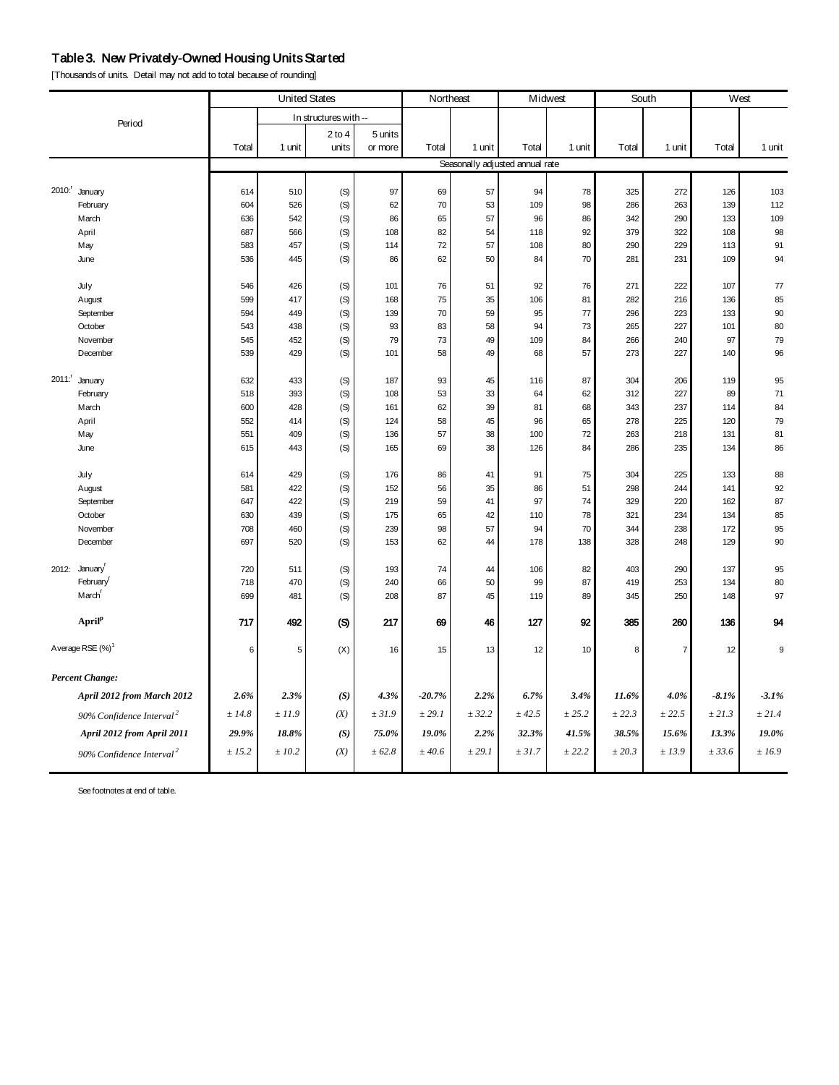## Table 3. New Privately-Owned Housing Units Started

[Thousands of units. Detail may not add to total because of rounding]

| <b>United States</b>                 |        |        | Northeast             |         | Midwest  |        | South                           |             | West   |                |         |             |
|--------------------------------------|--------|--------|-----------------------|---------|----------|--------|---------------------------------|-------------|--------|----------------|---------|-------------|
| Period                               |        |        | In structures with -- |         |          |        |                                 |             |        |                |         |             |
|                                      |        |        | $2$ to $4$            | 5 units |          |        |                                 |             |        |                |         |             |
|                                      | Total  | 1 unit | units                 | or more | Total    | 1 unit | Total                           | 1 unit      | Total  | 1 unit         | Total   | 1 unit      |
|                                      |        |        |                       |         |          |        | Seasonally adjusted annual rate |             |        |                |         |             |
| 2010: <sup>r</sup> January           | 614    | 510    | (S)                   | 97      | 69       | 57     | 94                              | 78          | 325    | 272            | 126     | 103         |
| February                             | 604    | 526    | (S)                   | 62      | 70       | 53     | 109                             | 98          | 286    | 263            | 139     | 112         |
| March                                | 636    | 542    | (S)                   | 86      | 65       | 57     | 96                              | 86          | 342    | 290            | 133     | 109         |
| April                                | 687    | 566    | (S)                   | 108     | 82       | 54     | 118                             | 92          | 379    | 322            | 108     | 98          |
| May                                  | 583    | 457    | (S)                   | 114     | 72       | 57     | 108                             | 80          | 290    | 229            | 113     | 91          |
| June                                 | 536    | 445    | (S)                   | 86      | 62       | 50     | 84                              | 70          | 281    | 231            | 109     | 94          |
| July                                 | 546    | 426    | (S)                   | 101     | 76       | 51     | 92                              | 76          | 271    | 222            | 107     | $77$        |
| August                               | 599    | 417    | (S)                   | 168     | 75       | 35     | 106                             | 81          | 282    | 216            | 136     | 85          |
| September                            | 594    | 449    | (S)                   | 139     | 70       | 59     | 95                              | 77          | 296    | 223            | 133     | 90          |
| October                              | 543    | 438    | (S)                   | 93      | 83       | 58     | 94                              | 73          | 265    | 227            | 101     | 80          |
| November                             | 545    | 452    | (S)                   | 79      | 73       | 49     | 109                             | 84          | 266    | 240            | 97      | 79          |
| December                             | 539    | 429    | (S)                   | 101     | 58       | 49     | 68                              | 57          | 273    | 227            | 140     | 96          |
| 2011: January                        | 632    | 433    | (S)                   | 187     | 93       | 45     | 116                             | 87          | 304    | 206            | 119     | 95          |
| February                             | 518    | 393    | (S)                   | 108     | 53       | 33     | 64                              | 62          | 312    | 227            | 89      | 71          |
| March                                | 600    | 428    | (S)                   | 161     | 62       | 39     | 81                              | 68          | 343    | 237            | 114     | 84          |
| April                                | 552    | 414    | (S)                   | 124     | 58       | 45     | 96                              | 65          | 278    | 225            | 120     | 79          |
| May                                  | 551    | 409    | (S)                   | 136     | 57       | 38     | 100                             | 72          | 263    | 218            | 131     | 81          |
| June                                 | 615    | 443    | (S)                   | 165     | 69       | 38     | 126                             | 84          | 286    | 235            | 134     | 86          |
| July                                 | 614    | 429    | (S)                   | 176     | 86       | 41     | 91                              | 75          | 304    | 225            | 133     | 88          |
| August                               | 581    | 422    | (S)                   | 152     | 56       | 35     | 86                              | 51          | 298    | 244            | 141     | 92          |
| September                            | 647    | 422    | (S)                   | 219     | 59       | 41     | 97                              | 74          | 329    | 220            | 162     | 87          |
| October                              | 630    | 439    | (S)                   | 175     | 65       | 42     | 110                             | 78          | 321    | 234            | 134     | 85          |
| November                             | 708    | 460    | (S)                   | 239     | 98       | 57     | 94                              | 70          | 344    | 238            | 172     | 95          |
| December                             | 697    | 520    | (S)                   | 153     | 62       | 44     | 178                             | 138         | 328    | 248            | 129     | 90          |
| 2012: January                        | 720    | 511    | (S)                   | 193     | 74       | 44     | 106                             | 82          | 403    | 290            | 137     | 95          |
| February <sup>r</sup>                | 718    | 470    | (S)                   | 240     | 66       | 50     | 99                              | 87          | 419    | 253            | 134     | 80          |
| March <sup>r</sup>                   | 699    | 481    | (S)                   | 208     | 87       | 45     | 119                             | 89          | 345    | 250            | 148     | 97          |
| April <sup>p</sup>                   | 717    | 492    | (S)                   | 217     | 69       | 46     | 127                             | 92          | 385    | 260            | 136     | 94          |
| Average RSE (%) <sup>1</sup>         | 6      | 5      | (X)                   | 16      | 15       | 13     | 12                              | 10          | 8      | $\overline{7}$ | 12      | 9           |
| <b>Percent Change:</b>               |        |        |                       |         |          |        |                                 |             |        |                |         |             |
| April 2012 from March 2012           | 2.6%   | 2.3%   | (S)                   | 4.3%    | $-20.7%$ | 2.2%   | 6.7%                            | 3.4%        | 11.6%  | 4.0%           | $-8.1%$ | $-3.1%$     |
| 90% Confidence Interval <sup>2</sup> | ± 14.8 | ±11.9  | (X)                   | ± 31.9  | ± 29.1   | ± 32.2 | ± 42.5                          | $\pm\,25.2$ | ± 22.3 | ± 22.5         | ± 21.3  | ± 21.4      |
| April 2012 from April 2011           | 29.9%  | 18.8%  | (S)                   | 75.0%   | 19.0%    | 2.2%   | 32.3%                           | 41.5%       | 38.5%  | 15.6%          | 13.3%   | 19.0%       |
| 90% Confidence Interval <sup>2</sup> | ± 15.2 | ±10.2  | (X)                   | ± 62.8  | $±$ 40.6 | ± 29.1 | ± 31.7                          | ± 22.2      | ± 20.3 | ±13.9          | ± 33.6  | $\pm\,16.9$ |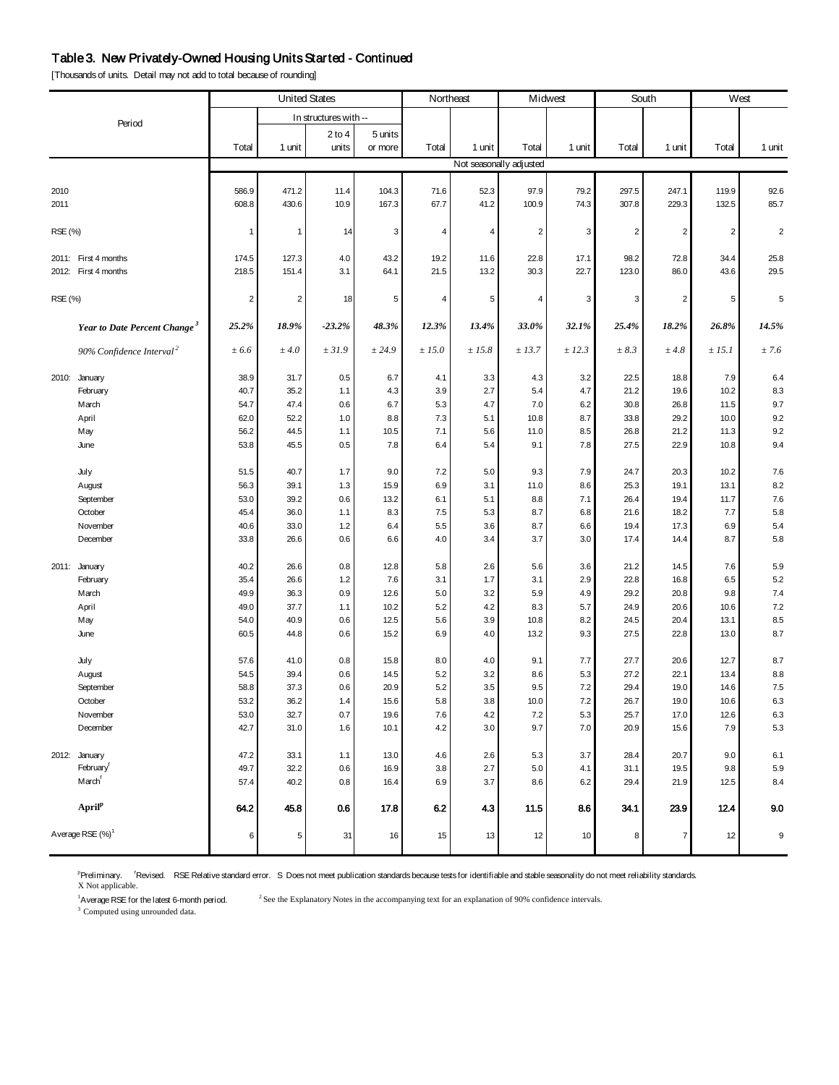#### Table 3. New Privately-Owned Housing Units Started - Continued

[Thousands of units. Detail may not add to total because of rounding]

|         |                                          |                         | <b>United States</b><br>Northeast<br>Midwest<br>South |                       |                           |              |                |                         | West    |                |                         |            |                |
|---------|------------------------------------------|-------------------------|-------------------------------------------------------|-----------------------|---------------------------|--------------|----------------|-------------------------|---------|----------------|-------------------------|------------|----------------|
|         |                                          |                         |                                                       | In structures with -- |                           |              |                |                         |         |                |                         |            |                |
|         | Period                                   |                         |                                                       | $2$ to 4              | 5 units                   |              |                |                         |         |                |                         |            |                |
|         |                                          | Total                   | 1 unit                                                | units                 | or more                   | Total        | 1 unit         | Total                   | 1 unit  | Total          | 1 unit                  | Total      | 1 unit         |
|         |                                          |                         |                                                       |                       |                           |              |                | Not seasonally adjusted |         |                |                         |            |                |
|         |                                          |                         |                                                       |                       |                           |              |                |                         |         |                |                         |            |                |
| 2010    |                                          | 586.9<br>608.8          | 471.2                                                 | 11.4                  | 104.3                     | 71.6<br>67.7 | 52.3<br>41.2   | 97.9                    | 79.2    | 297.5<br>307.8 | 247.1<br>229.3          | 119.9      | 92.6           |
| 2011    |                                          |                         | 430.6                                                 | 10.9                  | 167.3                     |              |                | 100.9                   | 74.3    |                |                         | 132.5      | 85.7           |
| RSE (%) |                                          | $\mathbf{1}$            | $\mathbf{1}$                                          | 14                    | $\ensuremath{\mathsf{3}}$ | 4            | $\overline{4}$ | $\overline{2}$          | 3       | $\overline{c}$ | $\overline{2}$          | $\sqrt{2}$ | $\overline{2}$ |
|         |                                          |                         |                                                       |                       |                           |              |                |                         |         |                |                         |            |                |
|         | 2011: First 4 months                     | 174.5                   | 127.3                                                 | 4.0                   | 43.2                      | 19.2         | 11.6           | 22.8                    | 17.1    | 98.2           | 72.8                    | 34.4       | 25.8           |
|         | 2012: First 4 months                     | 218.5                   | 151.4                                                 | 3.1                   | 64.1                      | 21.5         | 13.2           | 30.3                    | 22.7    | 123.0          | 86.0                    | 43.6       | 29.5           |
| RSE (%) |                                          | $\overline{\mathbf{c}}$ | $\boldsymbol{2}$                                      | 18                    | 5                         | 4            | 5              | $\overline{4}$          | 3       | 3              | $\overline{\mathbf{c}}$ | 5          | $\sqrt{5}$     |
|         | Year to Date Percent Change <sup>3</sup> | 25.2%                   | 18.9%                                                 | $-23.2%$              | 48.3%                     | 12.3%        | 13.4%          | 33.0%                   | 32.1%   | 25.4%          | 18.2%                   | 26.8%      | 14.5%          |
|         | 90% Confidence Interval <sup>2</sup>     | ± 6.6                   | ± 4.0                                                 | ± 31.9                | ± 24.9                    | ± 15.0       | ± 15.8         | ± 13.7                  | ± 12.3  | $\pm 8.3$      | $±$ 4.8                 | ± 15.1     | ± 7.6          |
|         |                                          |                         |                                                       |                       |                           |              |                |                         |         |                |                         |            |                |
|         | 2010: January                            | 38.9                    | 31.7                                                  | 0.5                   | 6.7                       | 4.1          | 3.3            | 4.3                     | 3.2     | 22.5           | 18.8                    | 7.9        | 6.4            |
|         | February                                 | 40.7                    | 35.2                                                  | 1.1                   | 4.3                       | 3.9          | 2.7            | 5.4                     | 4.7     | 21.2           | 19.6                    | 10.2       | 8.3            |
|         | March                                    | 54.7                    | 47.4                                                  | 0.6                   | 6.7                       | 5.3          | 4.7            | $7.0$                   | 6.2     | 30.8           | 26.8                    | 11.5       | 9.7            |
|         | April                                    | 62.0                    | 52.2                                                  | 1.0                   | 8.8                       | 7.3          | 5.1            | 10.8                    | 8.7     | 33.8           | 29.2                    | 10.0       | 9.2            |
|         | May                                      | 56.2                    | 44.5                                                  | 1.1                   | 10.5                      | 7.1          | 5.6            | 11.0                    | 8.5     | 26.8           | 21.2                    | 11.3       | 9.2            |
|         | June                                     | 53.8                    | 45.5                                                  | 0.5                   | 7.8                       | 6.4          | 5.4            | 9.1                     | 7.8     | 27.5           | 22.9                    | 10.8       | 9.4            |
|         | July                                     | 51.5                    | 40.7                                                  | 1.7                   | 9.0                       | 7.2          | 5.0            | 9.3                     | 7.9     | 24.7           | 20.3                    | 10.2       | 7.6            |
|         | August                                   | 56.3                    | 39.1                                                  | 1.3                   | 15.9                      | 6.9          | 3.1            | 11.0                    | 8.6     | 25.3           | 19.1                    | 13.1       | 8.2            |
|         | September                                | 53.0                    | 39.2                                                  | 0.6                   | 13.2                      | 6.1          | 5.1            | 8.8                     | 7.1     | 26.4           | 19.4                    | 11.7       | 7.6            |
|         | October                                  | 45.4                    | 36.0                                                  | 1.1                   | 8.3                       | 7.5          | 5.3            | 8.7                     | 6.8     | 21.6           | 18.2                    | 7.7        | 5.8            |
|         | November                                 | 40.6                    | 33.0                                                  | 1.2                   | 6.4                       | 5.5          | 3.6            | 8.7                     | 6.6     | 19.4           | 17.3                    | 6.9        | 5.4            |
|         | December                                 | 33.8                    | 26.6                                                  | 0.6                   | 6.6                       | 4.0          | 3.4            | 3.7                     | 3.0     | 17.4           | 14.4                    | 8.7        | 5.8            |
|         | 2011: January                            | 40.2                    | 26.6                                                  | 0.8                   | 12.8                      | 5.8          | 2.6            | 5.6                     | 3.6     | 21.2           | 14.5                    | 7.6        | 5.9            |
|         | February                                 | 35.4                    | 26.6                                                  | 1.2                   | 7.6                       | 3.1          | 1.7            | 3.1                     | 2.9     | 22.8           | 16.8                    | 6.5        | 5.2            |
|         | March                                    | 49.9                    | 36.3                                                  | 0.9                   | 12.6                      | 5.0          | 3.2            | 5.9                     | 4.9     | 29.2           | 20.8                    | 9.8        | $7.4$          |
|         | April                                    | 49.0                    | 37.7                                                  | 1.1                   | 10.2                      | 5.2          | 4.2            | 8.3                     | 5.7     | 24.9           | 20.6                    | 10.6       | 7.2            |
|         | May                                      | 54.0                    | 40.9                                                  | 0.6                   | 12.5                      | 5.6          | 3.9            | 10.8                    | 8.2     | 24.5           | 20.4                    | 13.1       | 8.5            |
|         | June                                     | 60.5                    | 44.8                                                  | 0.6                   | 15.2                      | 6.9          | 4.0            | 13.2                    | 9.3     | 27.5           | 22.8                    | 13.0       | 8.7            |
|         | July                                     | 57.6                    | 41.0                                                  | 0.8                   | 15.8                      | 8.0          | 4.0            | 9.1                     | 7.7     | 27.7           | 20.6                    | 12.7       | 8.7            |
|         | August                                   | 54.5                    | 39.4                                                  | 0.6                   | 14.5                      | $5.2\,$      | 3.2            | 8.6                     | 5.3     | 27.2           | 22.1                    | 13.4       | 8.8            |
|         | September                                | 58.8                    | 37.3                                                  | 0.6                   | 20.9                      | 5.2          | 3.5            | 9.5                     | $7.2\,$ | 29.4           | 19.0                    | 14.6       | $7.5\,$        |
|         | October                                  | 53.2                    | 36.2                                                  | 1.4                   | 15.6                      | 5.8          | 3.8            | $10.0\,$                | 7.2     | 26.7           | $19.0\,$                | 10.6       | $6.3\,$        |
|         | November                                 | 53.0                    | 32.7                                                  | 0.7                   | 19.6                      | 7.6          | 4.2            | 7.2                     | 5.3     | 25.7           | 17.0                    | 12.6       | 6.3            |
|         | December                                 | 42.7                    | 31.0                                                  | 1.6                   | 10.1                      | 4.2          | 3.0            | 9.7                     | 7.0     | 20.9           | 15.6                    | 7.9        | $5.3\,$        |
|         | 2012: January                            | 47.2                    | 33.1                                                  | 1.1                   | 13.0                      | 4.6          | 2.6            | 5.3                     | 3.7     | 28.4           | 20.7                    | 9.0        | 6.1            |
|         | February <sup>r</sup>                    | 49.7                    | 32.2                                                  | 0.6                   | 16.9                      | $3.8\,$      | 2.7            | $5.0\,$                 | 4.1     | 31.1           | 19.5                    | 9.8        | $5.9\,$        |
|         | March <sup>[</sup>                       | 57.4                    | 40.2                                                  | 0.8                   | 16.4                      | 6.9          | 3.7            | 8.6                     | 6.2     | 29.4           | 21.9                    | 12.5       | 8.4            |
|         | April <sup>p</sup>                       | 64.2                    | 45.8                                                  | 0.6                   | 17.8                      | 6.2          | 4.3            | 11.5                    | 8.6     | 34.1           | 23.9                    | 12.4       | 9.0            |
|         | Average RSE (%) <sup>1</sup>             | 6                       | 5                                                     | 31                    | 16                        | 15           | 13             | 12                      | 10      | 8              | $\overline{7}$          | 12         | 9              |

<sup>p</sup>Preliminary. <sup>r</sup>Revised. RSE Relative standard error. S Does not meet publication standards because tests for identifiable and stable seasonality do not meet reliability standards.<br>X Not applicable.

<sup>1</sup>A verage RSE for the latest 6-month period.

 $2$  See the Explanatory Notes in the accompanying text for an explanation of 90% confidence intervals.

<sup>3</sup> Computed using unrounded data.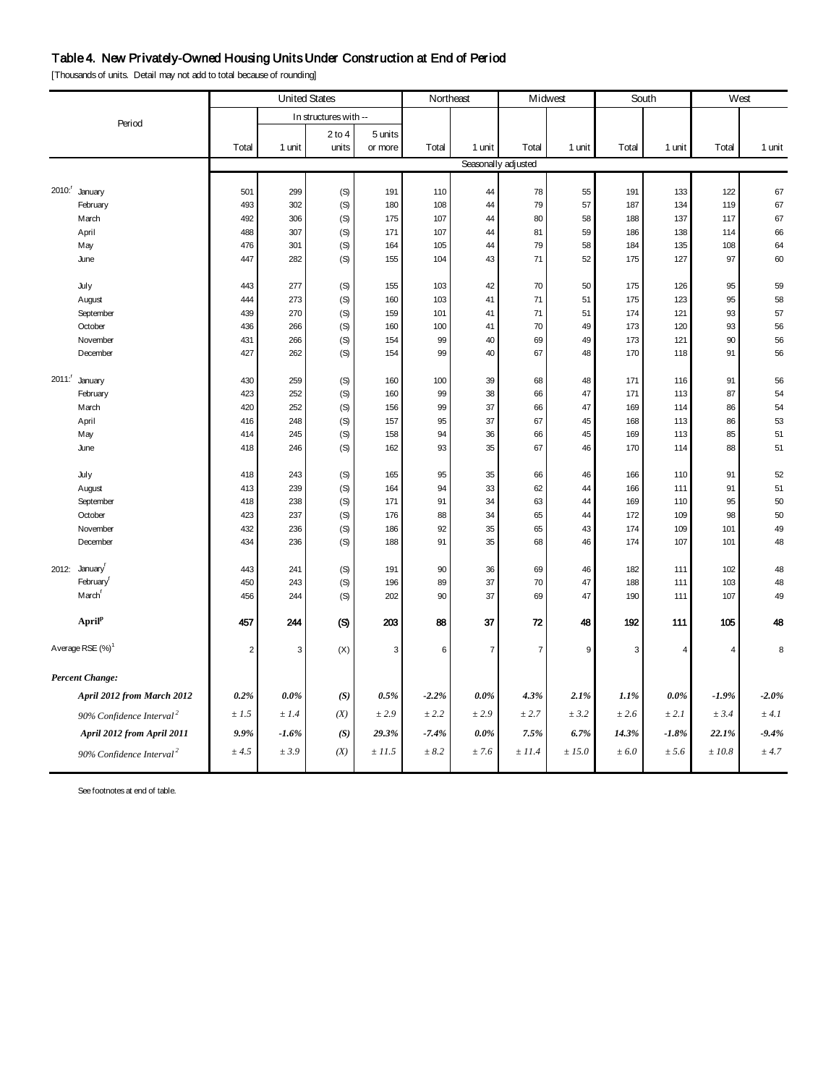## Table 4. New Privately-Owned Housing Units Under Construction at End of Period

[Thousands of units. Detail may not add to total because of rounding]

|                                      |                |            | <b>United States</b>  |              | Northeast  |                | Midwest             |          | South      |            | West           |          |
|--------------------------------------|----------------|------------|-----------------------|--------------|------------|----------------|---------------------|----------|------------|------------|----------------|----------|
| Period                               |                |            | In structures with -- |              |            |                |                     |          |            |            |                |          |
|                                      |                |            | $2$ to $4$            | 5 units      |            |                |                     |          |            |            |                |          |
|                                      | Total          | 1 unit     | units                 | or more      | Total      | 1 unit         | Total               | 1 unit   | Total      | 1 unit     | Total          | 1 unit   |
|                                      |                |            |                       |              |            |                | Seasonally adjusted |          |            |            |                |          |
|                                      |                |            |                       |              |            |                |                     |          |            |            |                |          |
| 2010: January<br>February            | 501<br>493     | 299<br>302 | (S)                   | 191<br>180   | 110<br>108 | 44<br>44       | 78<br>79            | 55<br>57 | 191<br>187 | 133<br>134 | 122<br>119     | 67<br>67 |
| March                                | 492            | 306        | (S)<br>(S)            | 175          | 107        | 44             | 80                  | 58       | 188        | 137        | 117            | 67       |
| April                                | 488            | 307        | (S)                   | 171          | 107        | 44             | 81                  | 59       | 186        | 138        | 114            | 66       |
| May                                  | 476            | 301        | (S)                   | 164          | 105        | 44             | 79                  | 58       | 184        | 135        | 108            | 64       |
| June                                 | 447            | 282        | (S)                   | 155          | 104        | 43             | 71                  | 52       | 175        | 127        | 97             | 60       |
| July                                 | 443            | 277        | (S)                   | 155          | 103        | 42             | 70                  | 50       | 175        | 126        | 95             | 59       |
| August                               | 444            | 273        | (S)                   | 160          | 103        | 41             | 71                  | 51       | 175        | 123        | 95             | 58       |
| September                            | 439            | 270        | (S)                   | 159          | 101        | 41             | 71                  | 51       | 174        | 121        | 93             | 57       |
| October                              | 436            | 266        | (S)                   | 160          | 100        | 41             | 70                  | 49       | 173        | 120        | 93             | 56       |
| November                             | 431            | 266        | (S)                   | 154          | 99         | 40             | 69                  | 49       | 173        | 121        | 90             | 56       |
| December                             | 427            | 262        | (S)                   | 154          | 99         | 40             | 67                  | 48       | 170        | 118        | 91             | 56       |
| $2011$ :<br>January                  | 430            | 259        | (S)                   | 160          | 100        | 39             | 68                  | 48       | 171        | 116        | 91             | 56       |
| February                             | 423            | 252        | (S)                   | 160          | 99         | 38             | 66                  | 47       | 171        | 113        | 87             | 54       |
| March                                | 420            | 252        | (S)                   | 156          | 99         | 37             | 66                  | 47       | 169        | 114        | 86             | 54       |
| April                                | 416            | 248        | (S)                   | 157          | 95         | 37             | 67                  | 45       | 168        | 113        | 86             | 53       |
| May                                  | 414            | 245        | (S)                   | 158          | 94         | 36             | 66                  | 45       | 169        | 113        | 85             | 51       |
| June                                 | 418            | 246        | (S)                   | 162          | 93         | 35             | 67                  | 46       | 170        | 114        | 88             | 51       |
| July                                 | 418            | 243        | (S)                   | 165          | 95         | 35             | 66                  | 46       | 166        | 110        | 91             | 52       |
| August                               | 413            | 239        | (S)                   | 164          | 94         | 33             | 62                  | 44       | 166        | 111        | 91             | 51       |
| September                            | 418            | 238        | (S)                   | 171          | 91         | 34             | 63                  | 44       | 169        | 110        | 95             | 50       |
| October                              | 423            | 237        | (S)                   | 176          | 88         | 34             | 65                  | 44       | 172        | 109        | 98             | 50       |
| November                             | 432            | 236        | (S)                   | 186          | 92         | 35             | 65                  | 43       | 174        | 109        | 101            | 49       |
| December                             | 434            | 236        | (S)                   | 188          | 91         | 35             | 68                  | 46       | 174        | 107        | 101            | 48       |
| 2012: January                        | 443            | 241        | (S)                   | 191          | 90         | 36             | 69                  | 46       | 182        | 111        | 102            | 48       |
| February <sup>r</sup>                | 450            | 243        | (S)                   | 196          | 89         | 37             | 70                  | 47       | 188        | 111        | 103            | 48       |
| March <sup>r</sup>                   | 456            | 244        | (S)                   | 202          | 90         | 37             | 69                  | 47       | 190        | 111        | 107            | 49       |
| <b>April</b> <sup>p</sup>            | 457            | 244        | (S)                   | 203          | 88         | 37             | 72                  | 48       | 192        | 111        | 105            | 48       |
| Average RSE (%) <sup>1</sup>         | $\overline{2}$ | 3          | (X)                   | $\mathbf{3}$ | 6          | $\overline{7}$ | $\overline{7}$      | 9        | 3          | 4          | $\overline{4}$ | 8        |
| <b>Percent Change:</b>               |                |            |                       |              |            |                |                     |          |            |            |                |          |
| April 2012 from March 2012           | 0.2%           | $0.0\%$    | (S)                   | 0.5%         | $-2.2%$    | $0.0\%$        | 4.3%                | 2.1%     | 1.1%       | $0.0\%$    | $-1.9%$        | $-2.0%$  |
| 90% Confidence Interval <sup>2</sup> | ±1.5           | ±1.4       | (X)                   | ± 2.9        | ± 2.2      | ± 2.9          | ± 2.7               | ± 3.2    | ± 2.6      | ± 2.1      | ± 3.4          | ± 4.1    |
| April 2012 from April 2011           | 9.9%           | $-1.6%$    | (S)                   | 29.3%        | $-7.4%$    | $0.0\%$        | 7.5%                | 6.7%     | 14.3%      | $-1.8%$    | 22.1%          | $-9.4%$  |
| 90% Confidence Interval <sup>2</sup> | ± 4.5          | ± 3.9      | (X)                   | ± 11.5       | ± 8.2      | ± 7.6          | ±11.4               | ± 15.0   | $\pm 6.0$  | ± 5.6      | ±10.8          | ± 4.7    |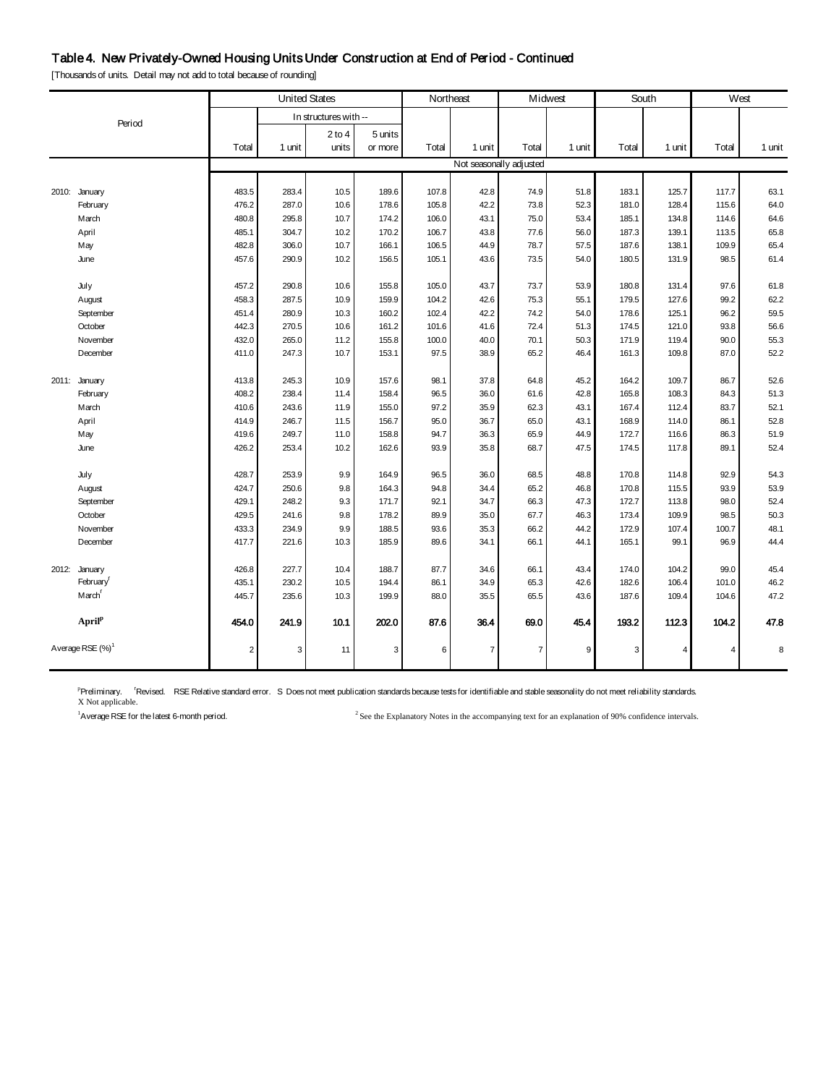## Table 4. New Privately-Owned Housing Units Under Construction at End of Period - Continued

[Thousands of units. Detail may not add to total because of rounding]

|       |                    | <b>United States</b> |        |                       | Northeast |       | Midwest        |                         | South  |       | West   |                |        |
|-------|--------------------|----------------------|--------|-----------------------|-----------|-------|----------------|-------------------------|--------|-------|--------|----------------|--------|
|       | Period             |                      |        | In structures with -- |           |       |                |                         |        |       |        |                |        |
|       |                    |                      |        | $2$ to $4$            | 5 units   |       |                |                         |        |       |        |                |        |
|       |                    | Total                | 1 unit | units                 | or more   | Total | 1 unit         | Total                   | 1 unit | Total | 1 unit | Total          | 1 unit |
|       |                    |                      |        |                       |           |       |                | Not seasonally adjusted |        |       |        |                |        |
|       |                    |                      |        |                       |           |       |                |                         |        |       |        |                |        |
|       | 2010: January      | 483.5                | 283.4  | 10.5                  | 189.6     | 107.8 | 42.8           | 74.9                    | 51.8   | 183.1 | 125.7  | 117.7          | 63.1   |
|       | February           | 476.2                | 287.0  | 10.6                  | 178.6     | 105.8 | 42.2           | 73.8                    | 52.3   | 181.0 | 128.4  | 115.6          | 64.0   |
|       | March              | 480.8                | 295.8  | 10.7                  | 174.2     | 106.0 | 43.1           | 75.0                    | 53.4   | 185.1 | 134.8  | 114.6          | 64.6   |
|       | April              | 485.1                | 304.7  | 10.2                  | 170.2     | 106.7 | 43.8           | 77.6                    | 56.0   | 187.3 | 139.1  | 113.5          | 65.8   |
|       | May                | 482.8                | 306.0  | 10.7                  | 166.1     | 106.5 | 44.9           | 78.7                    | 57.5   | 187.6 | 138.1  | 109.9          | 65.4   |
|       | June               | 457.6                | 290.9  | 10.2                  | 156.5     | 105.1 | 43.6           | 73.5                    | 54.0   | 180.5 | 131.9  | 98.5           | 61.4   |
|       | July               | 457.2                | 290.8  | 10.6                  | 155.8     | 105.0 | 43.7           | 73.7                    | 53.9   | 180.8 | 131.4  | 97.6           | 61.8   |
|       | August             | 458.3                | 287.5  | 10.9                  | 159.9     | 104.2 | 42.6           | 75.3                    | 55.1   | 179.5 | 127.6  | 99.2           | 62.2   |
|       | September          | 451.4                | 280.9  | 10.3                  | 160.2     | 102.4 | 42.2           | 74.2                    | 54.0   | 178.6 | 125.1  | 96.2           | 59.5   |
|       | October            | 442.3                | 270.5  | 10.6                  | 161.2     | 101.6 | 41.6           | 72.4                    | 51.3   | 174.5 | 121.0  | 93.8           | 56.6   |
|       | November           | 432.0                | 265.0  | 11.2                  | 155.8     | 100.0 | 40.0           | 70.1                    | 50.3   | 171.9 | 119.4  | 90.0           | 55.3   |
|       | December           | 411.0                | 247.3  | 10.7                  | 153.1     | 97.5  | 38.9           | 65.2                    | 46.4   | 161.3 | 109.8  | 87.0           | 52.2   |
|       |                    |                      | 245.3  | 10.9                  | 157.6     | 98.1  | 37.8           | 64.8                    | 45.2   | 164.2 | 109.7  | 86.7           | 52.6   |
|       | 2011: January      | 413.8<br>408.2       | 238.4  | 11.4                  | 158.4     | 96.5  | 36.0           | 61.6                    | 42.8   | 165.8 | 108.3  | 84.3           | 51.3   |
|       | February<br>March  | 410.6                | 243.6  | 11.9                  | 155.0     | 97.2  | 35.9           | 62.3                    | 43.1   | 167.4 | 112.4  | 83.7           | 52.1   |
|       | April              | 414.9                | 246.7  | 11.5                  | 156.7     | 95.0  | 36.7           | 65.0                    | 43.1   | 168.9 | 114.0  | 86.1           | 52.8   |
|       | May                | 419.6                | 249.7  | 11.0                  | 158.8     | 94.7  | 36.3           | 65.9                    | 44.9   | 172.7 | 116.6  | 86.3           | 51.9   |
|       | June               | 426.2                | 253.4  | 10.2                  | 162.6     | 93.9  | 35.8           | 68.7                    | 47.5   | 174.5 | 117.8  | 89.1           | 52.4   |
|       |                    |                      |        |                       |           |       |                |                         |        |       |        |                |        |
|       | July               | 428.7                | 253.9  | 9.9                   | 164.9     | 96.5  | 36.0           | 68.5                    | 48.8   | 170.8 | 114.8  | 92.9           | 54.3   |
|       | August             | 424.7                | 250.6  | 9.8                   | 164.3     | 94.8  | 34.4           | 65.2                    | 46.8   | 170.8 | 115.5  | 93.9           | 53.9   |
|       | September          | 429.1                | 248.2  | 9.3                   | 171.7     | 92.1  | 34.7           | 66.3                    | 47.3   | 172.7 | 113.8  | 98.0           | 52.4   |
|       | October            | 429.5                | 241.6  | 9.8                   | 178.2     | 89.9  | 35.0           | 67.7                    | 46.3   | 173.4 | 109.9  | 98.5           | 50.3   |
|       | November           | 433.3                | 234.9  | 9.9                   | 188.5     | 93.6  | 35.3           | 66.2                    | 44.2   | 172.9 | 107.4  | 100.7          | 48.1   |
|       | December           | 417.7                | 221.6  | 10.3                  | 185.9     | 89.6  | 34.1           | 66.1                    | 44.1   | 165.1 | 99.1   | 96.9           | 44.4   |
| 2012: | January            | 426.8                | 227.7  | 10.4                  | 188.7     | 87.7  | 34.6           | 66.1                    | 43.4   | 174.0 | 104.2  | 99.0           | 45.4   |
|       | February           | 435.1                | 230.2  | 10.5                  | 194.4     | 86.1  | 34.9           | 65.3                    | 42.6   | 182.6 | 106.4  | 101.0          | 46.2   |
|       | March <sup>'</sup> | 445.7                | 235.6  | 10.3                  | 199.9     | 88.0  | 35.5           | 65.5                    | 43.6   | 187.6 | 109.4  | 104.6          | 47.2   |
|       | April <sup>p</sup> | 454.0                | 241.9  | 10.1                  | 202.0     | 87.6  | 36.4           | 69.0                    | 45.4   | 193.2 | 112.3  | 104.2          | 47.8   |
|       | Average RSE (%)    | $\overline{2}$       | 3      | 11                    | 3         | 6     | $\overline{7}$ | $\overline{7}$          | 9      | 3     | 4      | $\overline{4}$ | 8      |

<sup>p</sup>Preliminary. <sup>r</sup>Revised. RSE Relative standard error. S Does not meet publication standards because tests for identifiable and stable seasonality do not meet reliability standards.<br>X Not applicable.

<sup>1</sup>A verage RSE for the latest 6-month period.

 $2$  See the Explanatory Notes in the accompanying text for an explanation of 90% confidence intervals.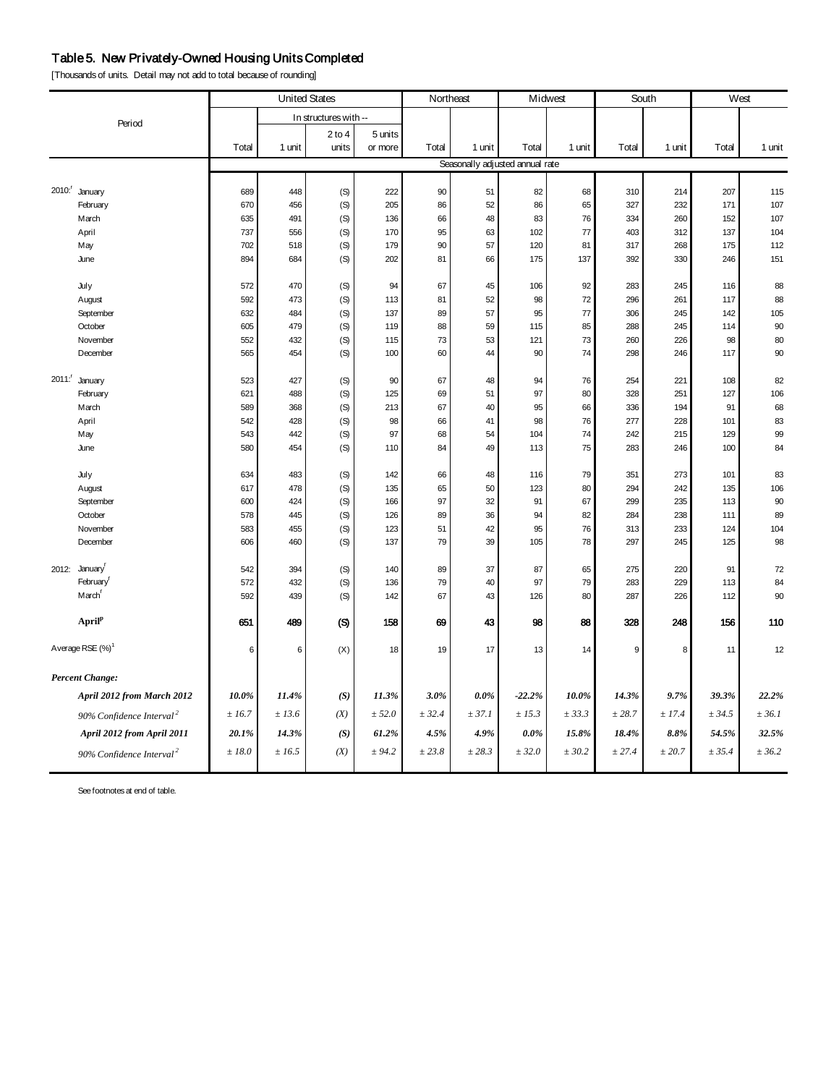## Table 5. New Privately-Owned Housing Units Completed

[Thousands of units. Detail may not add to total because of rounding]

| <b>United States</b>         |                                      |        | Northeast |                       | Midwest |        | South   |                                 | West       |             |        |        |        |
|------------------------------|--------------------------------------|--------|-----------|-----------------------|---------|--------|---------|---------------------------------|------------|-------------|--------|--------|--------|
|                              | Period                               |        |           | In structures with -- |         |        |         |                                 |            |             |        |        |        |
|                              |                                      |        |           | $2$ to $4$            | 5 units |        |         |                                 |            |             |        |        |        |
|                              |                                      | Total  | 1 unit    | units                 | or more | Total  | 1 unit  | Total                           | 1 unit     | Total       | 1 unit | Total  | 1 unit |
|                              |                                      |        |           |                       |         |        |         | Seasonally adjusted annual rate |            |             |        |        |        |
| 2010: <sup>r</sup> January   |                                      | 689    | 448       | (S)                   | 222     | 90     | 51      | 82                              | 68         | 310         | 214    | 207    | 115    |
|                              | February                             | 670    | 456       | (S)                   | 205     | 86     | 52      | 86                              | 65         | 327         | 232    | 171    | 107    |
|                              | March                                | 635    | 491       | (S)                   | 136     | 66     | 48      | 83                              | 76         | 334         | 260    | 152    | 107    |
|                              | April                                | 737    | 556       | (S)                   | 170     | 95     | 63      | 102                             | 77         | 403         | 312    | 137    | 104    |
| May                          |                                      | 702    | 518       | (S)                   | 179     | 90     | 57      | 120                             | 81         | 317         | 268    | 175    | 112    |
| June                         |                                      | 894    | 684       | (S)                   | 202     | 81     | 66      | 175                             | 137        | 392         | 330    | 246    | 151    |
| July                         |                                      | 572    | 470       | (S)                   | 94      | 67     | 45      | 106                             | 92         | 283         | 245    | 116    | 88     |
|                              | August                               | 592    | 473       | (S)                   | 113     | 81     | 52      | 98                              | 72         | 296         | 261    | 117    | 88     |
|                              | September                            | 632    | 484       | (S)                   | 137     | 89     | 57      | 95                              | 77         | 306         | 245    | 142    | 105    |
|                              | October                              | 605    | 479       | (S)                   | 119     | 88     | 59      | 115                             | 85         | 288         | 245    | 114    | 90     |
|                              | November                             | 552    | 432       | (S)                   | 115     | 73     | 53      | 121                             | 73         | 260         | 226    | 98     | 80     |
|                              | December                             | 565    | 454       | (S)                   | 100     | 60     | 44      | 90                              | 74         | 298         | 246    | 117    | 90     |
| 2011: January                |                                      | 523    | 427       | (S)                   | 90      | 67     | 48      | 94                              | 76         | 254         | 221    | 108    | 82     |
|                              | February                             | 621    | 488       | (S)                   | 125     | 69     | 51      | 97                              | 80         | 328         | 251    | 127    | 106    |
|                              | March                                | 589    | 368       | (S)                   | 213     | 67     | 40      | 95                              | 66         | 336         | 194    | 91     | 68     |
| April                        |                                      | 542    | 428       | (S)                   | 98      | 66     | 41      | 98                              | ${\bf 76}$ | 277         | 228    | 101    | 83     |
| May                          |                                      | 543    | 442       | (S)                   | 97      | 68     | 54      | 104                             | 74         | 242         | 215    | 129    | 99     |
| June                         |                                      | 580    | 454       | (S)                   | 110     | 84     | 49      | 113                             | 75         | 283         | 246    | 100    | 84     |
| July                         |                                      | 634    | 483       | (S)                   | 142     | 66     | 48      | 116                             | 79         | 351         | 273    | 101    | 83     |
|                              | August                               | 617    | 478       | (S)                   | 135     | 65     | 50      | 123                             | 80         | 294         | 242    | 135    | 106    |
|                              | September                            | 600    | 424       | (S)                   | 166     | 97     | 32      | 91                              | 67         | 299         | 235    | 113    | 90     |
|                              | October                              | 578    | 445       | (S)                   | 126     | 89     | 36      | 94                              | 82         | 284         | 238    | 111    | 89     |
|                              | November                             | 583    | 455       | (S)                   | 123     | 51     | 42      | 95                              | 76         | 313         | 233    | 124    | 104    |
|                              | December                             | 606    | 460       | (S)                   | 137     | 79     | 39      | 105                             | 78         | 297         | 245    | 125    | 98     |
| 2012: January                |                                      | 542    | 394       | (S)                   | 140     | 89     | 37      | 87                              | 65         | 275         | 220    | 91     | 72     |
|                              | February <sup>r</sup>                | 572    | 432       | (S)                   | 136     | 79     | 40      | 97                              | 79         | 283         | 229    | 113    | 84     |
|                              | March <sup>r</sup>                   | 592    | 439       | (S)                   | 142     | 67     | 43      | 126                             | 80         | 287         | 226    | 112    | 90     |
|                              | April <sup>p</sup>                   | 651    | 489       | (S)                   | 158     | 69     | 43      | 98                              | 88         | 328         | 248    | 156    | 110    |
| Average RSE (%) <sup>1</sup> |                                      | 6      | 6         | (X)                   | 18      | 19     | 17      | 13                              | 14         | $\mathsf g$ | 8      | 11     | 12     |
| <b>Percent Change:</b>       |                                      |        |           |                       |         |        |         |                                 |            |             |        |        |        |
|                              | April 2012 from March 2012           | 10.0%  | 11.4%     | (S)                   | 11.3%   | 3.0%   | $0.0\%$ | $-22.2%$                        | 10.0%      | 14.3%       | 9.7%   | 39.3%  | 22.2%  |
|                              | 90% Confidence Interval <sup>2</sup> | ± 16.7 | ± 13.6    | (X)                   | ± 52.0  | ± 32.4 | ± 37.1  | ± 15.3                          | ± 33.3     | ± 28.7      | ± 17.4 | ± 34.5 | ± 36.1 |
|                              | April 2012 from April 2011           | 20.1%  | 14.3%     | (S)                   | 61.2%   | 4.5%   | 4.9%    | $0.0\%$                         | 15.8%      | 18.4%       | 8.8%   | 54.5%  | 32.5%  |
|                              | 90% Confidence Interval <sup>2</sup> | ±18.0  | ± 16.5    | (X)                   | ± 94.2  | ± 23.8 | ± 28.3  | ± 32.0                          | ± 30.2     | ± 27.4      | ± 20.7 | ± 35.4 | ± 36.2 |